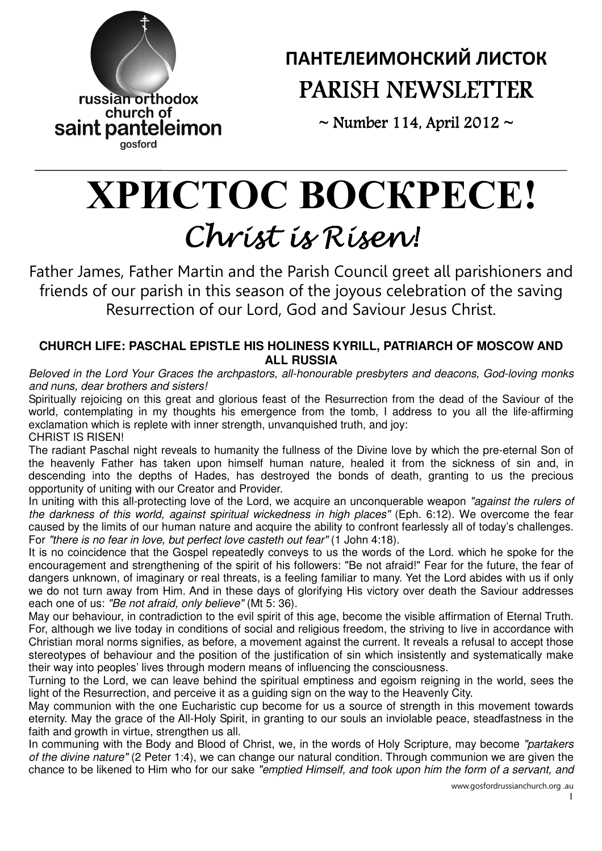

# ПАНТЕЛЕИМОНСКИЙ ЛИСТОК PARISH NEWSLETTER

 $\sim$  Number 114, April 2012  $\sim$ 

# ХРИСТ**O**С В**O**СКРЕСЕ**!**  Christ is Risen!

Father James, Father Martin and the Parish Council greet all parishioners and friends of our parish in this season of the joyous celebration of the saving Resurrection of our Lord, God and Saviour Jesus Christ.

# **CHURCH LIFE: PASCHAL EPISTLE HIS HOLINESS KYRILL, PATRIARCH OF MOSCOW AND ALL RUSSIA**

Beloved in the Lord Your Graces the archpastors, all-honourable presbyters and deacons, God-loving monks and nuns, dear brothers and sisters!

Spiritually rejoicing on this great and glorious feast of the Resurrection from the dead of the Saviour of the world, contemplating in my thoughts his emergence from the tomb, I address to you all the life-affirming exclamation which is replete with inner strength, unvanquished truth, and joy: CHRIST IS RISEN!

The radiant Paschal night reveals to humanity the fullness of the Divine love by which the pre-eternal Son of the heavenly Father has taken upon himself human nature, healed it from the sickness of sin and, in descending into the depths of Hades, has destroyed the bonds of death, granting to us the precious opportunity of uniting with our Creator and Provider.

In uniting with this all-protecting love of the Lord, we acquire an unconquerable weapon "against the rulers of the darkness of this world, against spiritual wickedness in high places" (Eph. 6:12). We overcome the fear caused by the limits of our human nature and acquire the ability to confront fearlessly all of today's challenges. For "there is no fear in love, but perfect love casteth out fear" (1 John 4:18).

It is no coincidence that the Gospel repeatedly conveys to us the words of the Lord. which he spoke for the encouragement and strengthening of the spirit of his followers: "Be not afraid!" Fear for the future, the fear of dangers unknown, of imaginary or real threats, is a feeling familiar to many. Yet the Lord abides with us if only we do not turn away from Him. And in these days of glorifying His victory over death the Saviour addresses each one of us: "Be not afraid, only believe" (Mt 5: 36).

May our behaviour, in contradiction to the evil spirit of this age, become the visible affirmation of Eternal Truth. For, although we live today in conditions of social and religious freedom, the striving to live in accordance with Christian moral norms signifies, as before, a movement against the current. It reveals a refusal to accept those stereotypes of behaviour and the position of the justification of sin which insistently and systematically make their way into peoples' lives through modern means of influencing the consciousness.

Turning to the Lord, we can leave behind the spiritual emptiness and egoism reigning in the world, sees the light of the Resurrection, and perceive it as a guiding sign on the way to the Heavenly City.

May communion with the one Eucharistic cup become for us a source of strength in this movement towards eternity. May the grace of the All-Holy Spirit, in granting to our souls an inviolable peace, steadfastness in the faith and growth in virtue, strengthen us all.

In communing with the Body and Blood of Christ, we, in the words of Holy Scripture, may become "partakers" of the divine nature" (2 Peter 1:4), we can change our natural condition. Through communion we are given the chance to be likened to Him who for our sake "emptied Himself, and took upon him the form of a servant, and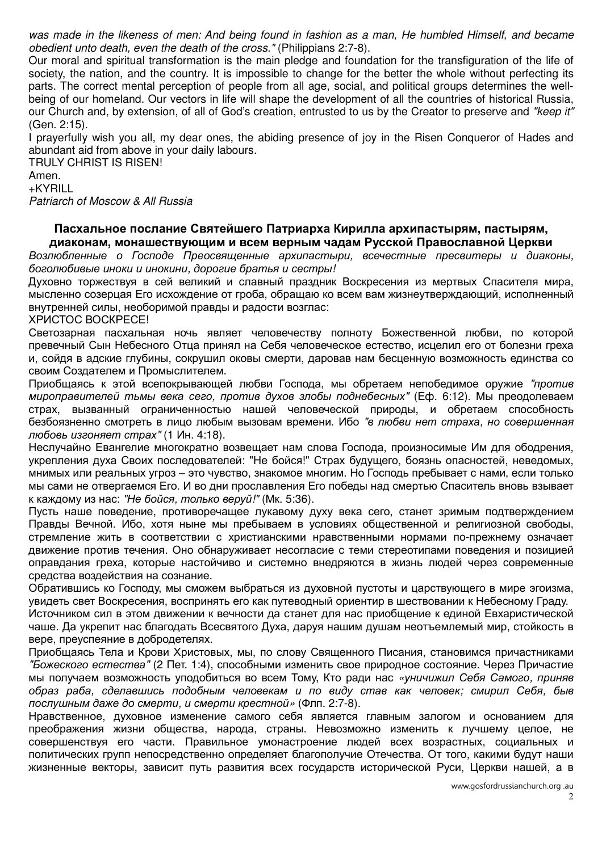was made in the likeness of men: And being found in fashion as a man, He humbled Himself, and became obedient unto death, even the death of the cross." (Philippians 2:7-8).

Our moral and spiritual transformation is the main pledge and foundation for the transfiguration of the life of society, the nation, and the country. It is impossible to change for the better the whole without perfecting its parts. The correct mental perception of people from all age, social, and political groups determines the wellbeing of our homeland. Our vectors in life will shape the development of all the countries of historical Russia, our Church and, by extension, of all of God's creation, entrusted to us by the Creator to preserve and "keep it" (Gen. 2:15).

I prayerfully wish you all, my dear ones, the abiding presence of joy in the Risen Conqueror of Hades and abundant aid from above in your daily labours.

TRULY CHRIST IS RISEN! Amen. +KYRILL

Patriarch of Moscow & All Russia

#### Пасхальное послание Святейшего Патриарха Кирилла архипастырям**,** пастырям**,**  диаконам**,** монашествующим и всем верным чадам Русской Православной Церкви

Возлюбленные о Господе Преосвященные архипастыри, всечестные пресвитеры и диаконы, боголюбивые иноки и инокини, дорогие братья и сестры!

Духовно торжествуя в сей великий и славный праздник Воскресения из мертвых Спасителя мира, мысленно созерцая Его исхождение от гроба, обращаю ко всем вам жизнеутверждающий, исполненный внутренней силы, необоримой правды и радости возглас:

ХРИСТОС ВОСКРЕСЕ!

Светозарная пасхальная ночь являет человечеству полноту Божественной любви, по которой превечный Сын Небесного Отца принял на Себя человеческое естество, исцелил его от болезни греха и, сойдя в адские глубины, сокрушил оковы смерти, даровав нам бесценную возможность единства со своим Создателем и Промыслителем.

Приобщаясь к этой всепокрывающей любви Господа, мы обретаем непобедимое оружие "против мироправителей тьмы века сего, против духов злобы поднебесных" (Еф. 6:12). Мы преодолеваем страх, вызванный ограниченностью нашей человеческой природы, и обретаем способность безбоязненно смотреть в лицо любым вызовам времени. Ибо "в любви нет страха, но совершенная любовь изгоняет страх" (1 Ин. 4:18).

Неслучайно Евангелие многократно возвещает нам слова Господа, произносимые Им для ободрения, укрепления духа Своих последователей: "Не бойся!" Страх будущего, боязнь опасностей, неведомых, мнимых или реальных угроз ‒ это чувство, знакомое многим. Но Господь пребывает с нами, если только мы сами не отвергаемся Его. И во дни прославления Его победы над смертью Спаситель вновь взывает к каждому из нас: "Не бойся, только веруй!" (Мк. 5:36).

Пусть наше поведение, противоречащее лукавому духу века сего, станет зримым подтверждением Правды Вечной. Ибо, хотя ныне мы пребываем в условиях общественной и религиозной свободы, стремление жить в соответствии с христианскими нравственными нормами по-прежнему означает движение против течения. Оно обнаруживает несогласие с теми стереотипами поведения и позицией оправдания греха, которые настойчиво и системно внедряются в жизнь людей через современные средства воздействия на сознание.

Обратившись ко Господу, мы сможем выбраться из духовной пустоты и царствующего в мире эгоизма, увидеть свет Воскресения, воспринять его как путеводный ориентир в шествовании к Небесному Граду. Источником сил в этом движении к вечности да станет для нас приобщение к единой Евхаристической чаше. Да укрепит нас благодать Всесвятого Духа, даруя нашим душам неотъемлемый мир, стойкость в вере, преуспеяние в добродетелях.

Приобщаясь Тела и Крови Христовых, мы, по слову Священного Писания, становимся причастниками "Божеского естества" (2 Пет. 1:4), способными изменить свое природное состояние. Через Причастие мы получаем возможность уподобиться во всем Тому, Кто ради нас «уничижил Себя Самого, приняв образ раба, сделавшись подобным человекам и по виду став как человек; смирил Себя, быв послушным даже до смерти, и смерти крестной» (Флп. 2:7-8).

Нравственное, духовное изменение самого себя является главным залогом и основанием для преображения жизни общества, народа, страны. Невозможно изменить к лучшему целое, не совершенствуя его части. Правильное умонастроение людей всех возрастных, социальных и политических групп непосредственно определяет благополучие Отечества. От того, какими будут наши жизненные векторы, зависит путь развития всех государств исторической Руси, Церкви нашей, а в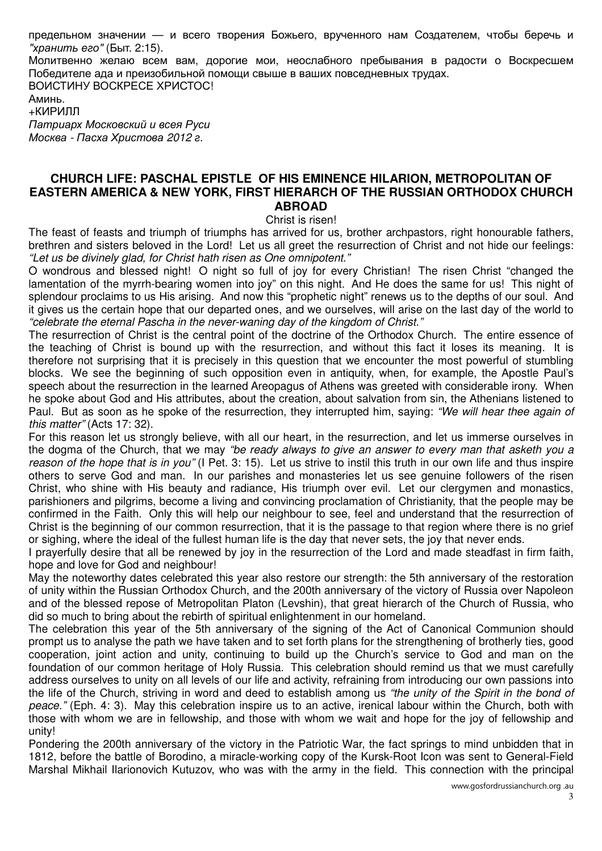предельном значении — и всего творения Божьего, врученного нам Создателем, чтобы беречь и "хранить его" (Быт. 2:15).

Молитвенно желаю всем вам, дорогие мои, неослабного пребывания в радости о Воскресшем Победителе ада и преизобильной помощи свыше в ваших повседневных трудах. ВОИСТИНУ ВОСКРЕСЕ ХРИСТОС!

Аминь. +КИРИЛЛ Патриарх Московский и всея Руси Москва - Пасха Христова 2012 г.

#### **CHURCH LIFE: PASCHAL EPISTLE OF HIS EMINENCE HILARION, METROPOLITAN OF EASTERN AMERICA & NEW YORK, FIRST HIERARCH OF THE RUSSIAN ORTHODOX CHURCH ABROAD**

Christ is risen!

The feast of feasts and triumph of triumphs has arrived for us, brother archpastors, right honourable fathers, brethren and sisters beloved in the Lord! Let us all greet the resurrection of Christ and not hide our feelings: "Let us be divinely glad, for Christ hath risen as One omnipotent."

O wondrous and blessed night! O night so full of joy for every Christian! The risen Christ "changed the lamentation of the myrrh-bearing women into joy" on this night. And He does the same for us! This night of splendour proclaims to us His arising. And now this "prophetic night" renews us to the depths of our soul. And it gives us the certain hope that our departed ones, and we ourselves, will arise on the last day of the world to "celebrate the eternal Pascha in the never-waning day of the kingdom of Christ."

The resurrection of Christ is the central point of the doctrine of the Orthodox Church. The entire essence of the teaching of Christ is bound up with the resurrection, and without this fact it loses its meaning. It is therefore not surprising that it is precisely in this question that we encounter the most powerful of stumbling blocks. We see the beginning of such opposition even in antiquity, when, for example, the Apostle Paul's speech about the resurrection in the learned Areopagus of Athens was greeted with considerable irony. When he spoke about God and His attributes, about the creation, about salvation from sin, the Athenians listened to Paul. But as soon as he spoke of the resurrection, they interrupted him, saying: "We will hear thee again of this matter" (Acts 17: 32).

For this reason let us strongly believe, with all our heart, in the resurrection, and let us immerse ourselves in the dogma of the Church, that we may "be ready always to give an answer to every man that asketh you a reason of the hope that is in you" (I Pet. 3: 15). Let us strive to instil this truth in our own life and thus inspire others to serve God and man. In our parishes and monasteries let us see genuine followers of the risen Christ, who shine with His beauty and radiance, His triumph over evil. Let our clergymen and monastics, parishioners and pilgrims, become a living and convincing proclamation of Christianity, that the people may be confirmed in the Faith. Only this will help our neighbour to see, feel and understand that the resurrection of Christ is the beginning of our common resurrection, that it is the passage to that region where there is no grief or sighing, where the ideal of the fullest human life is the day that never sets, the joy that never ends.

I prayerfully desire that all be renewed by joy in the resurrection of the Lord and made steadfast in firm faith, hope and love for God and neighbour!

May the noteworthy dates celebrated this year also restore our strength: the 5th anniversary of the restoration of unity within the Russian Orthodox Church, and the 200th anniversary of the victory of Russia over Napoleon and of the blessed repose of Metropolitan Platon (Levshin), that great hierarch of the Church of Russia, who did so much to bring about the rebirth of spiritual enlightenment in our homeland.

The celebration this year of the 5th anniversary of the signing of the Act of Canonical Communion should prompt us to analyse the path we have taken and to set forth plans for the strengthening of brotherly ties, good cooperation, joint action and unity, continuing to build up the Church's service to God and man on the foundation of our common heritage of Holy Russia. This celebration should remind us that we must carefully address ourselves to unity on all levels of our life and activity, refraining from introducing our own passions into the life of the Church, striving in word and deed to establish among us "the unity of the Spirit in the bond of peace." (Eph. 4: 3). May this celebration inspire us to an active, irenical labour within the Church, both with those with whom we are in fellowship, and those with whom we wait and hope for the joy of fellowship and unity!

Pondering the 200th anniversary of the victory in the Patriotic War, the fact springs to mind unbidden that in 1812, before the battle of Borodino, a miracle-working copy of the Kursk-Root Icon was sent to General-Field Marshal Mikhail Ilarionovich Kutuzov, who was with the army in the field. This connection with the principal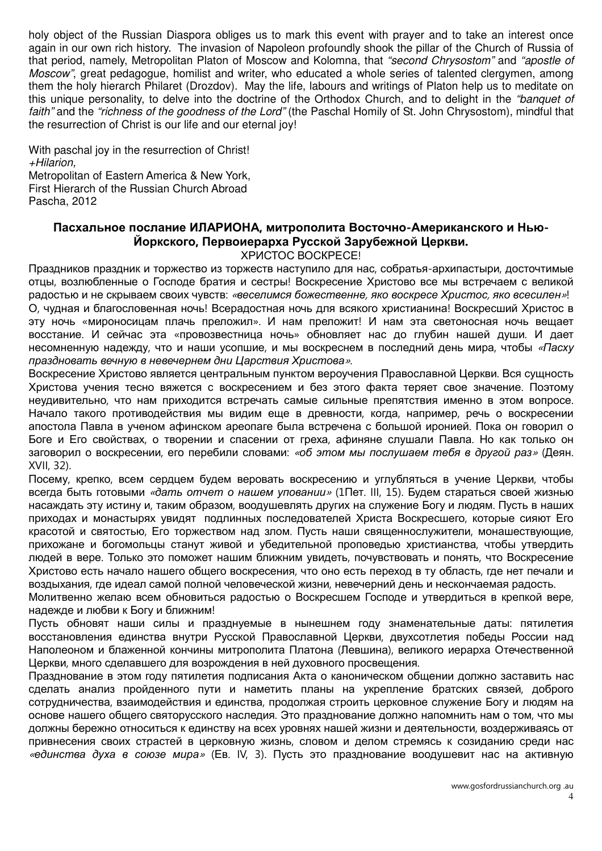holy object of the Russian Diaspora obliges us to mark this event with prayer and to take an interest once again in our own rich history. The invasion of Napoleon profoundly shook the pillar of the Church of Russia of that period, namely, Metropolitan Platon of Moscow and Kolomna, that "second Chrysostom" and "apostle of Moscow", great pedagogue, homilist and writer, who educated a whole series of talented clergymen, among them the holy hierarch Philaret (Drozdov). May the life, labours and writings of Platon help us to meditate on this unique personality, to delve into the doctrine of the Orthodox Church, and to delight in the "banquet of faith" and the "richness of the goodness of the Lord" (the Paschal Homily of St. John Chrysostom), mindful that the resurrection of Christ is our life and our eternal joy!

With paschal joy in the resurrection of Christ! +Hilarion, Metropolitan of Eastern America & New York, First Hierarch of the Russian Church Abroad Pascha, 2012

#### Пасхальное послание ИЛАРИОНА, митрополита Восточно-Американского и Нью-Йоркского, Первоиерарха Русской Зарубежной Церкви. ХРИСТОС ВОСКРЕСЕ!

Праздников праздник и торжество из торжеств наступило для нас, собратья-архипастыри, досточтимые отцы, возлюбленные о Господе братия и сестры! Воскресение Христово все мы встречаем с великой радостью и не скрываем своих чувств: «веселимся божественне, яко воскресе Христос, яко всесилен»! О, чудная и благословенная ночь! Всерадостная ночь для всякого христианина! Воскресший Христос в эту ночь «мироносицам плачь преложил». И нам преложит! И нам эта светоносная ночь вещает восстание. И сейчас эта «провозвестница ночь» обновляет нас до глубин нашей души. И дает несомненную надежду, что и наши усопшие, и мы воскреснем в последний день мира, чтобы «Пасху праздновать вечную в невечернем дни Царствия Христова».

Воскресение Христово является центральным пунктом вероучения Православной Церкви. Вся сущность Христова учения тесно вяжется с воскресением и без этого факта теряет свое значение. Поэтому неудивительно, что нам приходится встречать самые сильные препятствия именно в этом вопросе. Начало такого противодействия мы видим еще в древности, когда, например, речь о воскресении апостола Павла в ученом афинском ареопаге была встречена с большой иронией. Пока он говорил о Боге и Его свойствах, о творении и спасении от греха, афиняне слушали Павла. Но как только он заговорил о воскресении, его перебили словами: «об этом мы послушаем тебя в другой раз» (Деян. XVII, 32).

Посему, крепко, всем сердцем будем веровать воскресению и углубляться в учение Церкви, чтобы всегда быть готовыми «дать отчет о нашем уповании» (1Пет. III, 15). Будем стараться своей жизнью насаждать эту истину и, таким образом, воодушевлять других на служение Богу и людям. Пусть в наших приходах и монастырях увидят подлинных последователей Христа Воскресшего, которые сияют Его красотой и святостью, Его торжеством над злом. Пусть наши священнослужители, монашествующие, прихожане и богомольцы станут живой и убедительной проповедью христианства, чтобы утвердить людей в вере. Только это поможет нашим ближним увидеть, почувствовать и понять, что Воскресение Христово есть начало нашего общего воскресения, что оно есть переход в ту область, где нет печали и воздыхания, где идеал самой полной человеческой жизни, невечерний день и нескончаемая радость.

Молитвенно желаю всем обновиться радостью о Воскресшем Господе и утвердиться в крепкой вере, надежде и любви к Богу и ближним!

Пусть обновят наши силы и празднуемые в нынешнем году знаменательные даты: пятилетия восстановления единства внутри Русской Православной Церкви, двухсотлетия победы России над Наполеоном и блаженной кончины митрополита Платона (Левшина), великого иерарха Отечественной Церкви, много сделавшего для возрождения в ней духовного просвещения.

Празднование в этом году пятилетия подписания Акта о каноническом общении должно заставить нас сделать анализ пройденного пути и наметить планы на укрепление братских связей, доброго сотрудничества, взаимодействия и единства, продолжая строить церковное служение Богу и людям на основе нашего общего святорусского наследия. Это празднование должно напомнить нам о том, что мы должны бережно относиться к единству на всех уровнях нашей жизни и деятельности, воздерживаясь от привнесения своих страстей в церковную жизнь, словом и делом стремясь к созиданию среди нас «единства духа в союзе мира» (Ев. IV, 3). Пусть это празднование воодушевит нас на активную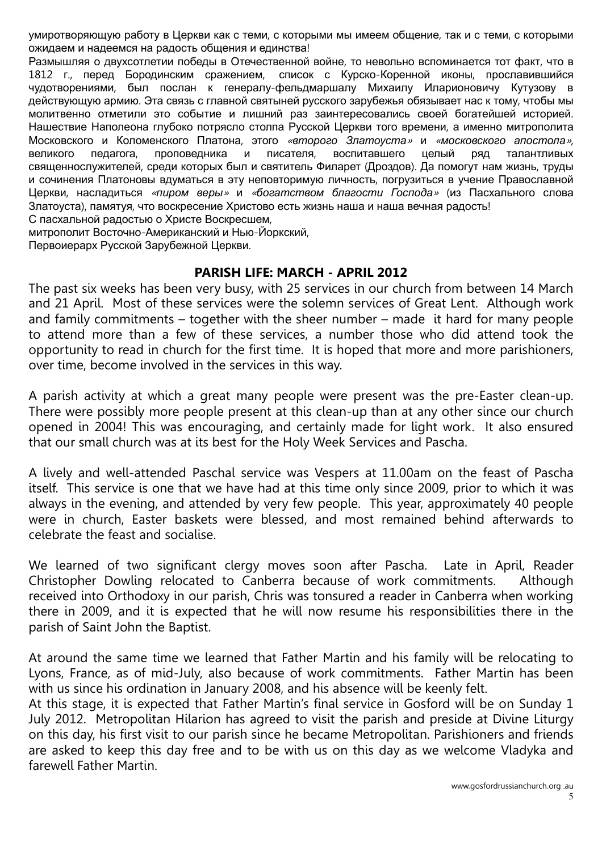умиротворяющую работу в Церкви как с теми, с которыми мы имеем общение, так и с теми, с которыми ожидаем и надеемся на радость общения и единства!

Размышляя о двухсотлетии победы в Отечественной войне, то невольно вспоминается тот факт, что в 1812 г., перед Бородинским сражением, список с Курско-Коренной иконы, прославившийся чудотворениями, был послан к генералу-фельдмаршалу Михаилу Иларионовичу Кутузову в действующую армию. Эта связь с главной святыней русского зарубежья обязывает нас к тому, чтобы мы молитвенно отметили это событие и лишний раз заинтересовались своей богатейшей историей. Нашествие Наполеона глубоко потрясло столпа Русской Церкви того времени, а именно митрополита Московского и Коломенского Платона, этого «второго Златоуста» и «московского апостола», великого педагога, проповедника и писателя, воспитавшего целый ряд талантливых священнослужителей, среди которых был и святитель Филарет (Дроздов). Да помогут нам жизнь, труды и сочинения Платоновы вдуматься в эту неповторимую личность, погрузиться в учение Православной Церкви, насладиться «пиром веры» и «богатством благости Господа» (из Пасхального слова Златоуста), памятуя, что воскресение Христово есть жизнь наша и наша вечная радость!

С пасхальной радостью о Христе Воскресшем,

митрополит Восточно-Американский и Нью-Йоркский, Первоиерарх Русской Зарубежной Церкви.

#### PARISH LIFE: MARCH - APRIL 2012

The past six weeks has been very busy, with 25 services in our church from between 14 March and 21 April. Most of these services were the solemn services of Great Lent. Although work and family commitments – together with the sheer number – made it hard for many people to attend more than a few of these services, a number those who did attend took the opportunity to read in church for the first time. It is hoped that more and more parishioners, over time, become involved in the services in this way.

A parish activity at which a great many people were present was the pre-Easter clean-up. There were possibly more people present at this clean-up than at any other since our church opened in 2004! This was encouraging, and certainly made for light work. It also ensured that our small church was at its best for the Holy Week Services and Pascha.

A lively and well-attended Paschal service was Vespers at 11.00am on the feast of Pascha itself. This service is one that we have had at this time only since 2009, prior to which it was always in the evening, and attended by very few people. This year, approximately 40 people were in church, Easter baskets were blessed, and most remained behind afterwards to celebrate the feast and socialise.

We learned of two significant clergy moves soon after Pascha. Late in April, Reader Christopher Dowling relocated to Canberra because of work commitments. Although received into Orthodoxy in our parish, Chris was tonsured a reader in Canberra when working there in 2009, and it is expected that he will now resume his responsibilities there in the parish of Saint John the Baptist.

At around the same time we learned that Father Martin and his family will be relocating to Lyons, France, as of mid-July, also because of work commitments. Father Martin has been with us since his ordination in January 2008, and his absence will be keenly felt.

At this stage, it is expected that Father Martin's final service in Gosford will be on Sunday 1 July 2012. Metropolitan Hilarion has agreed to visit the parish and preside at Divine Liturgy on this day, his first visit to our parish since he became Metropolitan. Parishioners and friends are asked to keep this day free and to be with us on this day as we welcome Vladyka and farewell Father Martin.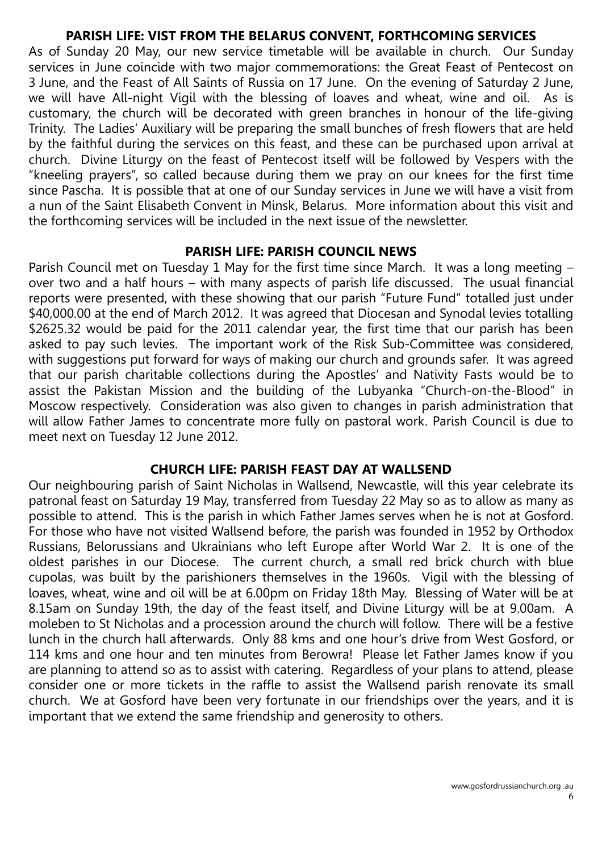# PARISH LIFE: VIST FROM THE BELARUS CONVENT, FORTHCOMING SERVICES

As of Sunday 20 May, our new service timetable will be available in church. Our Sunday services in June coincide with two major commemorations: the Great Feast of Pentecost on 3 June, and the Feast of All Saints of Russia on 17 June. On the evening of Saturday 2 June, we will have All-night Vigil with the blessing of loaves and wheat, wine and oil. As is customary, the church will be decorated with green branches in honour of the life-giving Trinity. The Ladies' Auxiliary will be preparing the small bunches of fresh flowers that are held by the faithful during the services on this feast, and these can be purchased upon arrival at church. Divine Liturgy on the feast of Pentecost itself will be followed by Vespers with the "kneeling prayers", so called because during them we pray on our knees for the first time since Pascha. It is possible that at one of our Sunday services in June we will have a visit from a nun of the Saint Elisabeth Convent in Minsk, Belarus. More information about this visit and the forthcoming services will be included in the next issue of the newsletter.

#### PARISH LIFE: PARISH COUNCIL NEWS

Parish Council met on Tuesday 1 May for the first time since March. It was a long meeting – over two and a half hours – with many aspects of parish life discussed. The usual financial reports were presented, with these showing that our parish "Future Fund" totalled just under \$40,000.00 at the end of March 2012. It was agreed that Diocesan and Synodal levies totalling \$2625.32 would be paid for the 2011 calendar year, the first time that our parish has been asked to pay such levies. The important work of the Risk Sub-Committee was considered, with suggestions put forward for ways of making our church and grounds safer. It was agreed that our parish charitable collections during the Apostles' and Nativity Fasts would be to assist the Pakistan Mission and the building of the Lubyanka "Church-on-the-Blood" in Moscow respectively. Consideration was also given to changes in parish administration that will allow Father James to concentrate more fully on pastoral work. Parish Council is due to meet next on Tuesday 12 June 2012.

# CHURCH LIFE: PARISH FEAST DAY AT WALLSEND

Our neighbouring parish of Saint Nicholas in Wallsend, Newcastle, will this year celebrate its patronal feast on Saturday 19 May, transferred from Tuesday 22 May so as to allow as many as possible to attend. This is the parish in which Father James serves when he is not at Gosford. For those who have not visited Wallsend before, the parish was founded in 1952 by Orthodox Russians, Belorussians and Ukrainians who left Europe after World War 2. It is one of the oldest parishes in our Diocese. The current church, a small red brick church with blue cupolas, was built by the parishioners themselves in the 1960s. Vigil with the blessing of loaves, wheat, wine and oil will be at 6.00pm on Friday 18th May. Blessing of Water will be at 8.15am on Sunday 19th, the day of the feast itself, and Divine Liturgy will be at 9.00am. A moleben to St Nicholas and a procession around the church will follow. There will be a festive lunch in the church hall afterwards. Only 88 kms and one hour's drive from West Gosford, or 114 kms and one hour and ten minutes from Berowra! Please let Father James know if you are planning to attend so as to assist with catering. Regardless of your plans to attend, please consider one or more tickets in the raffle to assist the Wallsend parish renovate its small church. We at Gosford have been very fortunate in our friendships over the years, and it is important that we extend the same friendship and generosity to others.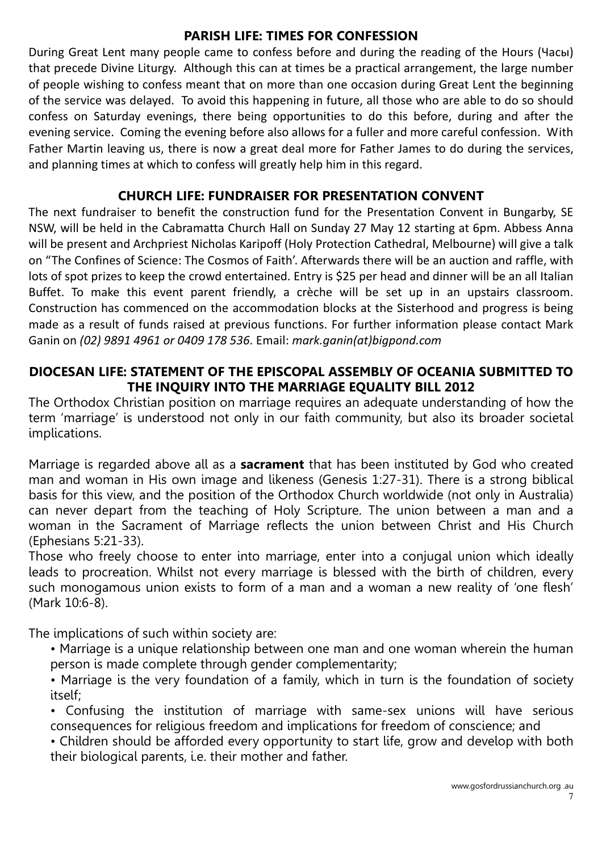# PARISH LIFE: TIMES FOR CONFESSION

During Great Lent many people came to confess before and during the reading of the Hours (Часы) that precede Divine Liturgy. Although this can at times be a practical arrangement, the large number of people wishing to confess meant that on more than one occasion during Great Lent the beginning of the service was delayed. To avoid this happening in future, all those who are able to do so should confess on Saturday evenings, there being opportunities to do this before, during and after the evening service. Coming the evening before also allows for a fuller and more careful confession. With Father Martin leaving us, there is now a great deal more for Father James to do during the services, and planning times at which to confess will greatly help him in this regard.

# CHURCH LIFE: FUNDRAISER FOR PRESENTATION CONVENT

The next fundraiser to benefit the construction fund for the Presentation Convent in Bungarby, SE NSW, will be held in the Cabramatta Church Hall on Sunday 27 May 12 starting at 6pm. Abbess Anna will be present and Archpriest Nicholas Karipoff (Holy Protection Cathedral, Melbourne) will give a talk on "The Confines of Science: The Cosmos of Faith'. Afterwards there will be an auction and raffle, with lots of spot prizes to keep the crowd entertained. Entry is \$25 per head and dinner will be an all Italian Buffet. To make this event parent friendly, a crèche will be set up in an upstairs classroom. Construction has commenced on the accommodation blocks at the Sisterhood and progress is being made as a result of funds raised at previous functions. For further information please contact Mark Ganin on (02) 9891 4961 or 0409 178 536. Email: mark.ganin(at)bigpond.com

# DIOCESAN LIFE: STATEMENT OF THE EPISCOPAL ASSEMBLY OF OCEANIA SUBMITTED TO THE INQUIRY INTO THE MARRIAGE EQUALITY BILL 2012

The Orthodox Christian position on marriage requires an adequate understanding of how the term 'marriage' is understood not only in our faith community, but also its broader societal implications.

Marriage is regarded above all as a **sacrament** that has been instituted by God who created man and woman in His own image and likeness (Genesis 1:27-31). There is a strong biblical basis for this view, and the position of the Orthodox Church worldwide (not only in Australia) can never depart from the teaching of Holy Scripture. The union between a man and a woman in the Sacrament of Marriage reflects the union between Christ and His Church (Ephesians 5:21-33).

Those who freely choose to enter into marriage, enter into a conjugal union which ideally leads to procreation. Whilst not every marriage is blessed with the birth of children, every such monogamous union exists to form of a man and a woman a new reality of 'one flesh' (Mark 10:6-8).

The implications of such within society are:

• Marriage is a unique relationship between one man and one woman wherein the human person is made complete through gender complementarity;

• Marriage is the very foundation of a family, which in turn is the foundation of society itself;

• Confusing the institution of marriage with same-sex unions will have serious consequences for religious freedom and implications for freedom of conscience; and

• Children should be afforded every opportunity to start life, grow and develop with both their biological parents, i.e. their mother and father.